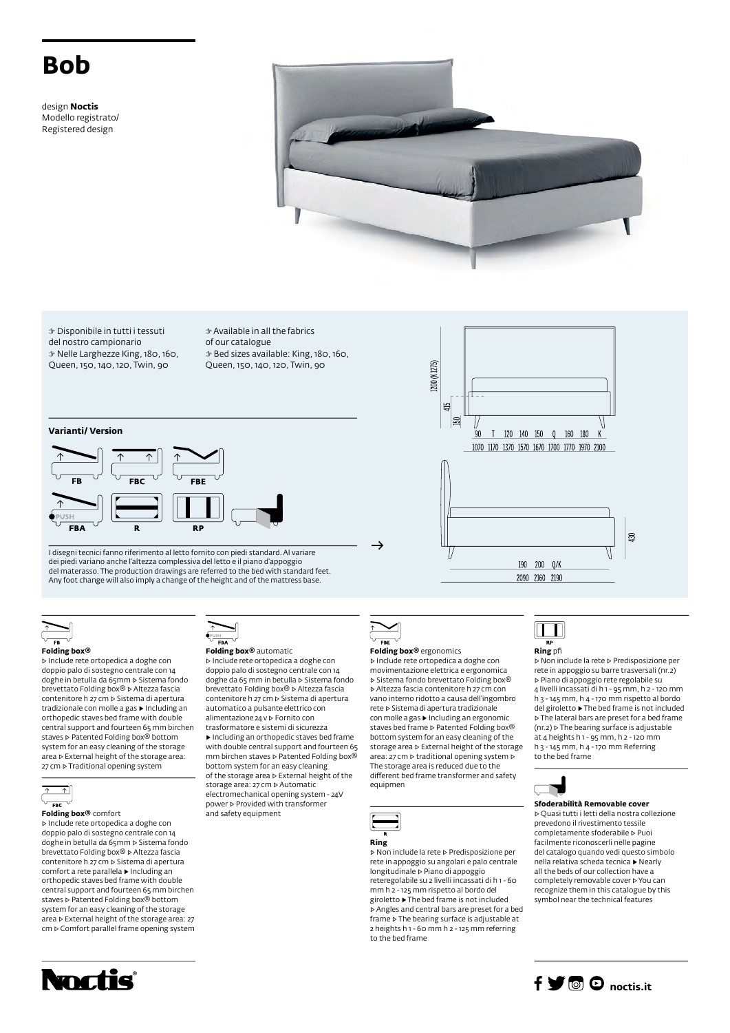# **Bob**

design **Noctis** Modello registrato/ Registered design



L200 (K1275)

tí5 **Isl** 

90

☞ Disponibile in tutti i tessuti del nostro campionario ☞ Nelle Larghezze King, 180, 160, Queen, 150, 140, 120, Twin, 90

☞ Available in all the fabrics of our catalogue ☞ Bed sizes available: King, 180, 160, Queen, 150, 140, 120, Twin, 90

### **Varianti/ Version**



I disegni tecnici fanno riferimento al letto fornito con piedi standard. Al variare dei piedi variano anche l'altezza complessiva del letto e il piano d'appoggio del materasso. The production drawings are referred to the bed with standard feet. Any foot change will also imply a change of the height and of the mattress base.



#### **Folding box®**

▷ Include rete ortopedica a doghe con doppio palo di sostegno centrale con 14 doghe in betulla da 65mm ▷ Sistema fondo brevettato Folding box® ▷ Altezza fascia contenitore h 27 cm ▷ Sistema di apertura tradizionale con molle a gas ▶ Including an orthopedic staves bed frame with double central support and fourteen 65 mm birchen staves **▷ Patented Folding box®** bottom system for an easy cleaning of the storage area ▷ External height of the storage area: 27 cm ⊳ Traditional opening system



▷ Include rete ortopedica a doghe con doppio palo di sostegno centrale con 14 doghe in betulla da 65mm ⊳ Sistema fondo<br>brevettato Folding box® ⊳ Altezza fascia contenitore h 27 cm ▷ Sistema di apertura

comfort a rete parallela ▶ Including an orthopedic staves bed frame with double central support and fourteen 65 mm birchen staves ▷ Patented Folding box® bottom system for an easy cleaning of the storage area ▷ External height of the storage area: 27 cm ▷ Comfort parallel frame opening system



#### **Folding box®** automatic

▷ Include rete ortopedica a doghe con doppio palo di sostegno centrale con 14 doghe da 65 mm in betulla ▷ Sistema fondo brevettato Folding box® ▷ Altezza fascia contenitore h 27 cm ▷ Sistema di apertura automatico a pulsante elettrico con alimentazione 24 v ▷ Fornito con trasformatore e sistemi di sicurezza ▶ Including an orthopedic staves bed frame with double central support and fourteen 65 mm birchen staves ▷ Patented Folding box® bottom system for an easy cleaning of the storage area ▷ External height of the storage area: 27 cm ▷ Automatic electromechanical opening system - 24V

power ▷ Provided with transformer and safety equipment

▷ Sistema fondo brevettato Folding box® ▷ Altezza fascia contenitore h 27 cm con vano interno ridotto a causa dell'ingombro

 $\overline{F}$ 

**Folding box®** ergonomics ▷ Include rete ortopedica a doghe con movimentazione elettrica e ergonomica

 $\rightarrow$ 

rete ▷ Sistema di apertura tradizionale con molle a gas ▶ Including an ergonomic staves bed frame ▷ Patented Folding box® bottom system for an easy cleaning of the storage area ▷ External height of the storage area: 27 cm ▷ traditional opening system ▷ The storage area is reduced due to the different bed frame transformer and safety equipmen



▷ Non include la rete ▷ Predisposizione per rete in appoggio su angolari e palo centrale longitudinale ▷ Piano di appoggio reteregolabile su 2 livelli incassati di h 1 - 60 mm h 2 - 125 mm rispetto al bordo del giroletto ▶ The bed frame is not included ▷ Angles and central bars are preset for a bed frame ▷ The bearing surface is adjustable at 2 heights h 1 - 60 mm h 2 - 125 mm referring to the bed frame



120 140 150 0 160 180

1070 1170 1370 1570 1670 1700 1770 1970 2100

190 200 Q/K 2090 2160 2190

**Ring** pfi

▷ Non include la rete ▷ Predisposizione per rete in appoggio su barre trasversali (nr.2) ▷ Piano di appoggio rete regolabile su 4 livelli incassati di h 1 - 95 mm, h 2 - 120 mm h 3 - 145 mm, h 4 - 170 mm rispetto al bordo del giroletto ▶ The bed frame is not included ▷ The lateral bars are preset for a bed frame (nr.2) ▷ The bearing surface is adjustable at 4 heights h 1 - 95 mm, h 2 - 120 mm h 3 - 145 mm, h 4 - 170 mm Referring to the bed frame

 $\overline{30}$ 



**Sfoderabilità Removable cover**

▷ Quasi tutti i letti della nostra collezione prevedono il rivestimento tessile completamente sfoderabile ▷ Puoi facilmente riconoscerli nelle pagine del catalogo quando vedi questo simbolo nella relativa scheda tecnica ▶ Nearly all the beds of our collection have a completely removable cover ▷ You can recognize them in this catalogue by this symbol near the technical features